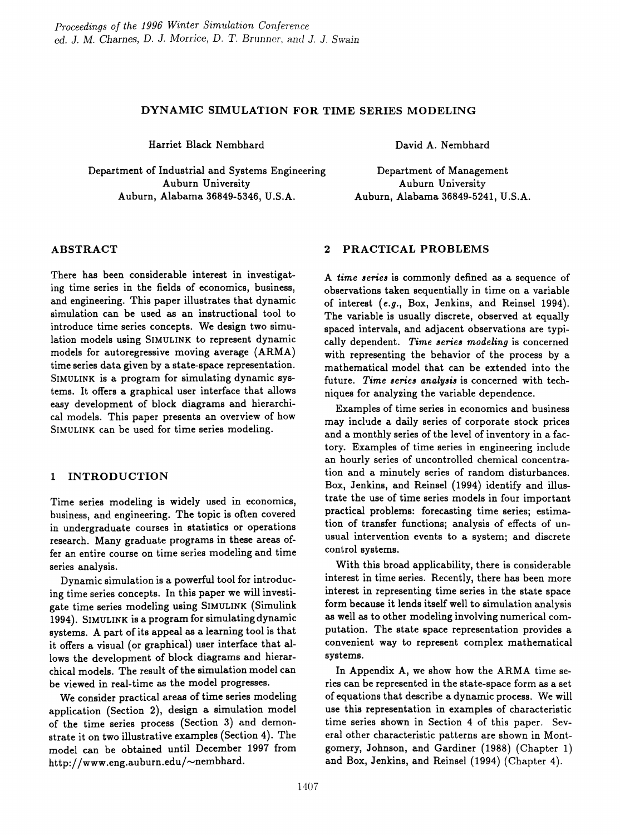### DYNAMIC SIMULATION FOR TIME SERIES MODELING

Harriet Black Nembhard

Department of Industrial and Systems Engineering Auburn University Auburn, Alabama 36849-5346, U.S.A.

David A. Nembhard

Department of Management Auburn University Auburn, Alabama 36849-5241, U.S.A.

## ABSTRACT

There has been considerable interest in investigating time series in the fields of economics, business, and engineering. This paper illustrates that dynamic simulation can be used as an instructional tool to introduce time series concepts. We design two simulation models using SIMULINK to represent dynamic models for autoregressive moving average (ARMA) time series data given by a state-space representation. SIMULINK is a program for simulating dynamic systems. It offers a graphical user interface that allows easy development of block diagrams and hierarchical models. This paper presents an overview of how SIMULINK can be used for time series modeling.

## 1 INTRODUCTION

Time series modeling is widely used in economics, business, and engineering. The topic is often covered in undergraduate courses in statistics or operations research. Many graduate programs in these areas offer an entire course on time series modeling and time series analysis.

Dynamic simulation is a powerful tool for introducing time series concepts. In this paper we will investigate time series modeling using SIMULINK (Simulink 1994). SIMULINK is a program for simulating dynamic systems. A part of its appeal as a learning tool is that it offers a visual (or graphical) user interface that allows the development of block diagrams and hierarchical models. The result of the simulation model can be viewed in real-time as the model progresses.

We consider practical areas of time series modeling application (Section 2), design a simulation model of the time series process (Section 3) and demonstrate it on two illustrative examples (Section 4). The model can be obtained until December 1997 from http://www.eng.auburn.edu/ $\sim$ nembhard.

### 2 PRACTICAL PROBLEMS

A *time 8erie6* is commonly defined as a sequence of observations taken sequentially in time on a variable of interest *(e.g.,* Box, Jenkins, and Reinsel 1994). The variable is usually discrete, observed at equally spaced intervals, and adjacent observations are typically dependent. *Time 8erie8 modeling* is concerned with representing the behavior of the process by a mathematical model that can be extended into the future. Time series analysis is concerned with techniques for analyzing the variable dependence.

Examples of time series in economics and business may include a daily series of corporate stock prices and a monthly series of the level of inventory in a factory. Examples of time series in engineering include an hourly series of uncontrolled chemical concentration and a minutely series of random disturbances. Box, Jenkins, and Reinsel (1994) identify and illustrate the use of time series models in four important practical problems: forecasting time series; estimation of transfer functions; analysis of effects of unusual intervention events to a system; and discrete control systems.

With this broad applicability, there is considerable interest in time series. Recently, there has been more interest in representing time series in the state space form because it lends itself well to simulation analysis as well as to other modeling involving numerical computation. The state space representation provides a convenient way to represent complex mathematical systems.

In Appendix A, we show how the ARMA time series can be represented in the state-space form as a set of equations that describe a dynamic process. We will use this representation in examples of characteristic time series shown in Section 4 of this paper. Several other characteristic patterns are shown in Montgomery, Johnson, and Gardiner (1988) (Chapter 1) and Box, Jenkins, and Reinsel (1994) (Chapter 4).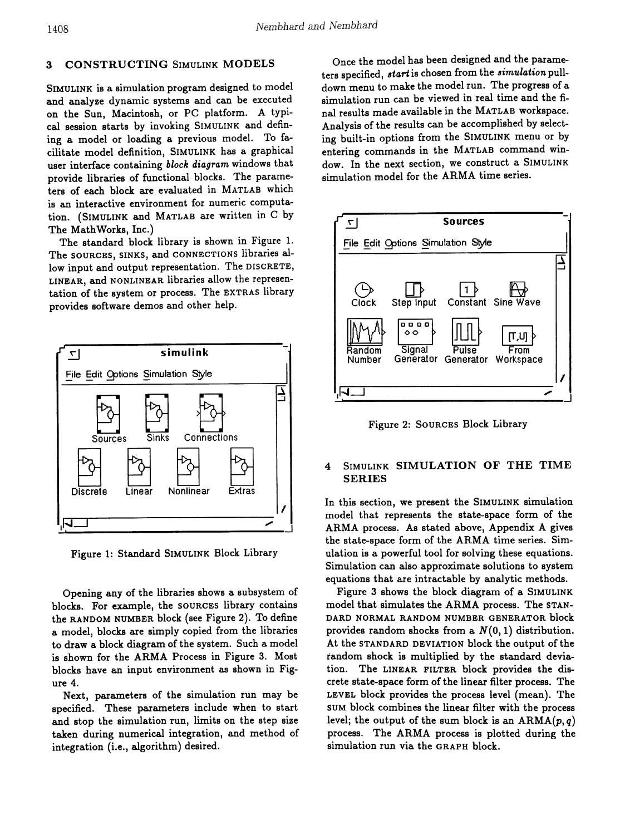#### **CONSTRUCTING SIMULINK MODELS**  $\bf{3}$

SIMULINK is a simulation program designed to model and analyze dynamic systems and can be executed on the Sun, Macintosh, or PC platform. A typical session starts by invoking SIMULINK and defining a model or loading a previous model. To facilitate model definition, SIMULINK has a graphical user interface containing block diagram windows that provide libraries of functional blocks. The parameters of each block are evaluated in MATLAB which is an interactive environment for numeric computation. (SIMULINK and MATLAB are written in C by The MathWorks, Inc.)

The standard block library is shown in Figure 1. The SOURCES, SINKS, and CONNECTIONS libraries allow input and output representation. The DISCRETE, LINEAR, and NONLINEAR libraries allow the representation of the system or process. The EXTRAS library provides software demos and other help.



Figure 1: Standard SIMULINK Block Library

Opening any of the libraries shows a subsystem of blocks. For example, the SOURCES library contains the RANDOM NUMBER block (see Figure 2). To define a model, blocks are simply copied from the libraries to draw a block diagram of the system. Such a model is shown for the ARMA Process in Figure 3. Most blocks have an input environment as shown in Figure 4.

Next, parameters of the simulation run may be specified. These parameters include when to start and stop the simulation run, limits on the step size taken during numerical integration, and method of integration (i.e., algorithm) desired.

Once the model has been designed and the parameters specified, *start* is chosen from the *simulation* pulldown menu to make the model run. The progress of a simulation run can be viewed in real time and the final results made available in the MATLAB workspace. Analysis of the results can be accomplished by selecting built-in options from the SIMULINK menu or by entering commands in the MATLAB command window. In the next section, we construct a SIMULINK simulation model for the ARMA time series.



Figure 2: SOURCES Block Library

### SIMULINK SIMULATION OF THE TIME  $\overline{\mathbf{4}}$ **SERIES**

In this section, we present the SIMULINK simulation model that represents the state-space form of the ARMA process. As stated above, Appendix A gives the state-space form of the ARMA time series. Simulation is a powerful tool for solving these equations. Simulation can also approximate solutions to system equations that are intractable by analytic methods.

Figure 3 shows the block diagram of a SIMULINK model that simulates the ARMA process. The STAN-DARD NORMAL RANDOM NUMBER GENERATOR block provides random shocks from a  $N(0, 1)$  distribution. At the STANDARD DEVIATION block the output of the random shock is multiplied by the standard deviation. The LINEAR FILTER block provides the discrete state-space form of the linear filter process. The LEVEL block provides the process level (mean). The SUM block combines the linear filter with the process level; the output of the sum block is an  $ARMA(p, q)$ process. The ARMA process is plotted during the simulation run via the GRAPH block.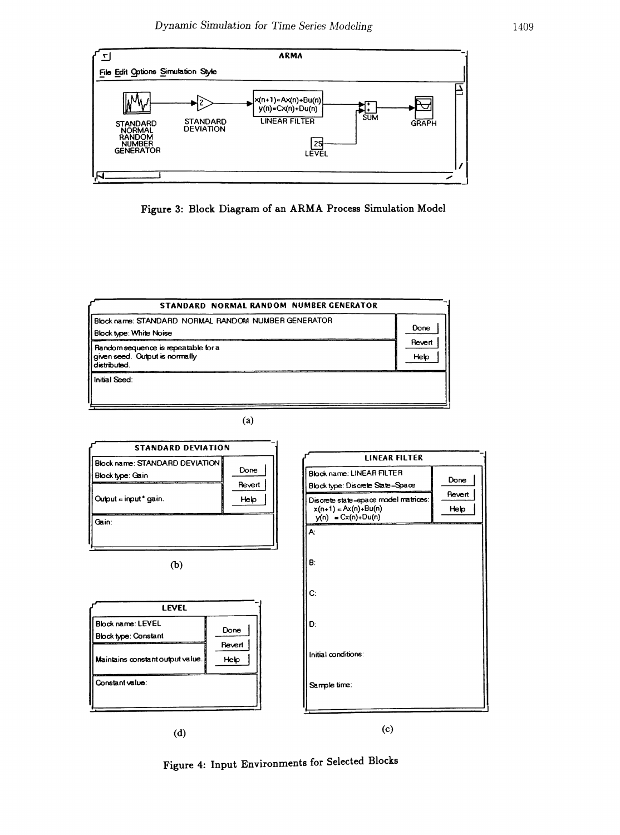

Figure 3: Block Diagram of an ARMA Process Simulation Model



 $(a)$ 



Figure 4: Input Environments for Selected Blocks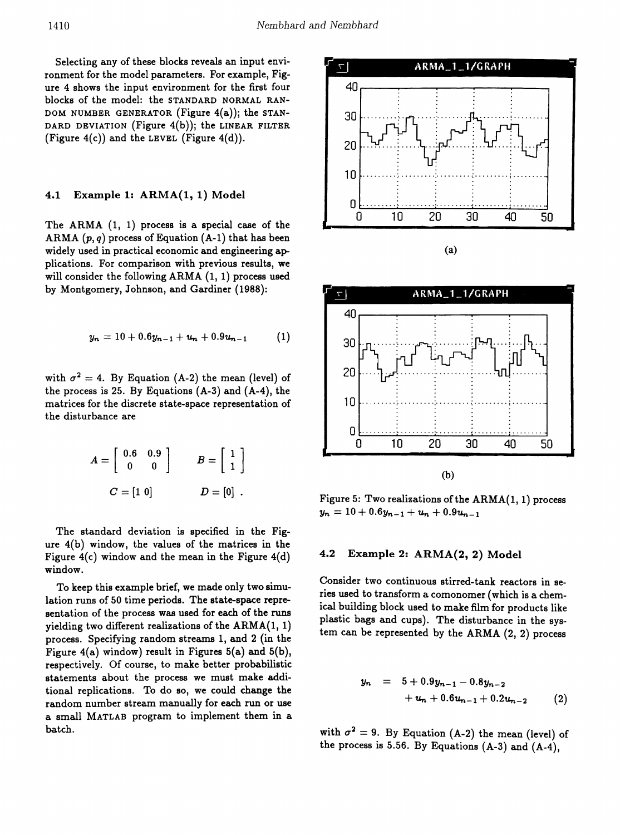Selecting any of these blocks reveals an input environment for the model parameters. For example, Figure 4 shows the input environment for the first four blocks of the model: the STANDARD NORMAL RAN-DOM NUMBER GENERATOR (Figure 4(a)); the STAN-DARD DEVIATION (Figure  $4(b)$ ); the LINEAR FILTER (Figure  $4(c)$ ) and the LEVEL (Figure  $4(d)$ ).

### Example 1: ARMA(1, 1) Model  $4.1$

The ARMA  $(1, 1)$  process is a special case of the ARMA  $(p, q)$  process of Equation  $(A-1)$  that has been widely used in practical economic and engineering applications. For comparison with previous results, we will consider the following  $ARMA(1, 1)$  process used by Montgomery, Johnson, and Gardiner (1988):

$$
y_n = 10 + 0.6y_{n-1} + u_n + 0.9u_{n-1} \qquad (1)
$$

with  $\sigma^2 = 4$ . By Equation (A-2) the mean (level) of the process is 25. By Equations (A-3) and (A-4), the matrices for the discrete state-space representation of the disturbance are

$$
A = \begin{bmatrix} 0.6 & 0.9 \\ 0 & 0 \end{bmatrix} \qquad B = \begin{bmatrix} 1 \\ 1 \end{bmatrix}
$$

$$
C = \begin{bmatrix} 1 & 0 \end{bmatrix} \qquad D = \begin{bmatrix} 0 \end{bmatrix} .
$$

The standard deviation is specified in the Figure 4(b) window, the values of the matrices in the Figure  $4(c)$  window and the mean in the Figure  $4(d)$ window.

To keep this example brief, we made only two simulation runs of 50 time periods. The state-space representation of the process was used for each of the runs yielding two different realizations of the  $ARMA(1, 1)$ process. Specifying random streams 1, and 2 (in the Figure  $4(a)$  window) result in Figures  $5(a)$  and  $5(b)$ , respectively. Of course, to make better probabilistic statements about the process we must make additional replications. To do so, we could change the random number stream manually for each run or use a small MATLAB program to implement them in a batch.





Figure 5: Two realizations of the ARMA(1, 1) process  $y_n = 10 + 0.6y_{n-1} + u_n + 0.9u_{n-1}$ 

#### $4.2$ Example 2: ARMA(2, 2) Model

Consider two continuous stirred-tank reactors in series used to transform a comonomer (which is a chemical building block used to make film for products like plastic bags and cups). The disturbance in the system can be represented by the ARMA (2, 2) process

$$
y_n = 5 + 0.9y_{n-1} - 0.8y_{n-2} + u_n + 0.6u_{n-1} + 0.2u_{n-2}
$$
 (2)

with  $\sigma^2 = 9$ . By Equation (A-2) the mean (level) of the process is 5.56. By Equations  $(A-3)$  and  $(A-4)$ .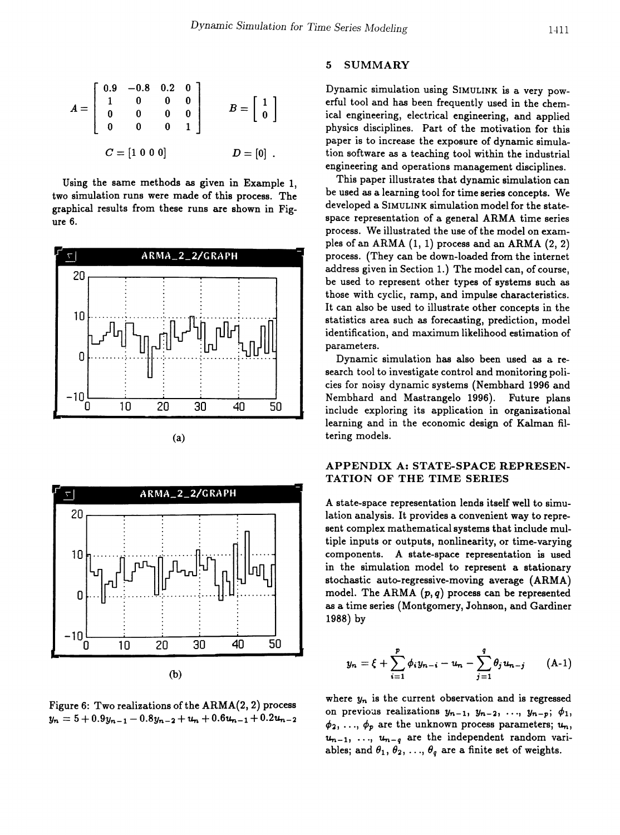$$
A = \begin{bmatrix} 0.9 & -0.8 & 0.2 & 0 \\ 1 & 0 & 0 & 0 \\ 0 & 0 & 0 & 0 \\ 0 & 0 & 0 & 1 \end{bmatrix} \qquad B = \begin{bmatrix} 1 \\ 0 \end{bmatrix}
$$

$$
C = \begin{bmatrix} 1 & 0 & 0 & 0 \end{bmatrix} \qquad D = \begin{bmatrix} 0 \end{bmatrix}.
$$

Using the same methods as given in Example 1, two simulation runs were made of this process. The graphical results from these runs are shown in Figure 6.



(a)



Figure 6: Two realizations of the  $ARMA(2, 2)$  process  $y_n = 5 + 0.9y_{n-1} - 0.8y_{n-2} + u_n + 0.6u_{n-1} + 0.2u_{n-2}$ 

### 5 SUMMARY

Dynamic simulation using SIMULINK is a very powerful tool and has been frequently used in the chemical engineering, electrical engineering, and applied physics disciplines. Part of the motivation for this paper is to increase the exposure of dynamic simulation software as a teaching tool within the industrial engineering and operations management disciplines.

This paper illustrates that dynamic simulation can be used as a learning tool for time series concepts. We developed a SIMULINK simulation model for the statespace representation of a general ARMA time series process. We illustrated the use of the model on examples of an ARMA (1, 1) process and an ARMA (2, 2) process. (They can be down-loaded from the internet address given in Section 1.) The model can, of course, be used to represent other types of systems such as those with cyclic, ramp, and impulse characteristics. It can also be used to illustrate other concepts in the statistics area such as forecasting, prediction, model identification, and maximum likelihood estimation of parameters.

Dynamic simulation has also been used as a research tool to investigate control and monitoring policies for noisy dynamic systems (Nembhard 1996 and Nembhard and Mastrangelo 1996). Future plans include exploring its application in organizational learning and in the economic design of Kalman filtering models.

### APPENDIX A: STATE-SPACE REPRESEN-TATION OF THE TIME SERIES

A state-space representation lends itself well to simulation analysis. It provides a convenient way to represent complex mathematical systems that include multiple inputs or outputs, nonlinearity, or time-varying components. A state-space representation is used in the simulation model to represent a stationary stochastic auto-regressive-moving average (ARMA) model. The ARMA *(p, q)* process can be represented as a time series (Montgomery, Johnson, and Gardiner 1988) by

$$
y_n = \xi + \sum_{i=1}^p \phi_i y_{n-i} - u_n - \sum_{j=1}^q \theta_j u_{n-j} \qquad (A-1)
$$

where  $y_n$  is the current observation and is regressed on previous realizations  $y_{n-1}$ ,  $y_{n-2}$ , ...,  $y_{n-p}$ ;  $\phi_1$ ,  $\phi_2, \ldots, \phi_p$  are the unknown process parameters;  $u_n$ ,  $u_{n-1}$ , ...,  $u_{n-q}$  are the independent random variables; and  $\theta_1, \theta_2, ..., \theta_q$  are a finite set of weights.